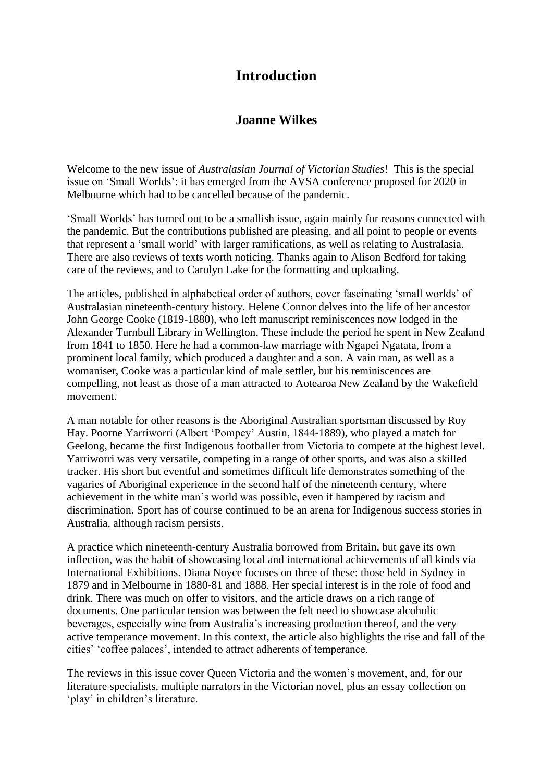## **Introduction**

## **Joanne Wilkes**

Welcome to the new issue of *Australasian Journal of Victorian Studies*! This is the special issue on 'Small Worlds': it has emerged from the AVSA conference proposed for 2020 in Melbourne which had to be cancelled because of the pandemic.

'Small Worlds' has turned out to be a smallish issue, again mainly for reasons connected with the pandemic. But the contributions published are pleasing, and all point to people or events that represent a 'small world' with larger ramifications, as well as relating to Australasia. There are also reviews of texts worth noticing. Thanks again to Alison Bedford for taking care of the reviews, and to Carolyn Lake for the formatting and uploading.

The articles, published in alphabetical order of authors, cover fascinating 'small worlds' of Australasian nineteenth-century history. Helene Connor delves into the life of her ancestor John George Cooke (1819-1880), who left manuscript reminiscences now lodged in the Alexander Turnbull Library in Wellington. These include the period he spent in New Zealand from 1841 to 1850. Here he had a common-law marriage with Ngapei Ngatata, from a prominent local family, which produced a daughter and a son. A vain man, as well as a womaniser, Cooke was a particular kind of male settler, but his reminiscences are compelling, not least as those of a man attracted to Aotearoa New Zealand by the Wakefield movement.

A man notable for other reasons is the Aboriginal Australian sportsman discussed by Roy Hay. Poorne Yarriworri (Albert 'Pompey' Austin, 1844-1889), who played a match for Geelong, became the first Indigenous footballer from Victoria to compete at the highest level. Yarriworri was very versatile, competing in a range of other sports, and was also a skilled tracker. His short but eventful and sometimes difficult life demonstrates something of the vagaries of Aboriginal experience in the second half of the nineteenth century, where achievement in the white man's world was possible, even if hampered by racism and discrimination. Sport has of course continued to be an arena for Indigenous success stories in Australia, although racism persists.

A practice which nineteenth-century Australia borrowed from Britain, but gave its own inflection, was the habit of showcasing local and international achievements of all kinds via International Exhibitions. Diana Noyce focuses on three of these: those held in Sydney in 1879 and in Melbourne in 1880-81 and 1888. Her special interest is in the role of food and drink. There was much on offer to visitors, and the article draws on a rich range of documents. One particular tension was between the felt need to showcase alcoholic beverages, especially wine from Australia's increasing production thereof, and the very active temperance movement. In this context, the article also highlights the rise and fall of the cities' 'coffee palaces', intended to attract adherents of temperance.

The reviews in this issue cover Queen Victoria and the women's movement, and, for our literature specialists, multiple narrators in the Victorian novel, plus an essay collection on 'play' in children's literature.